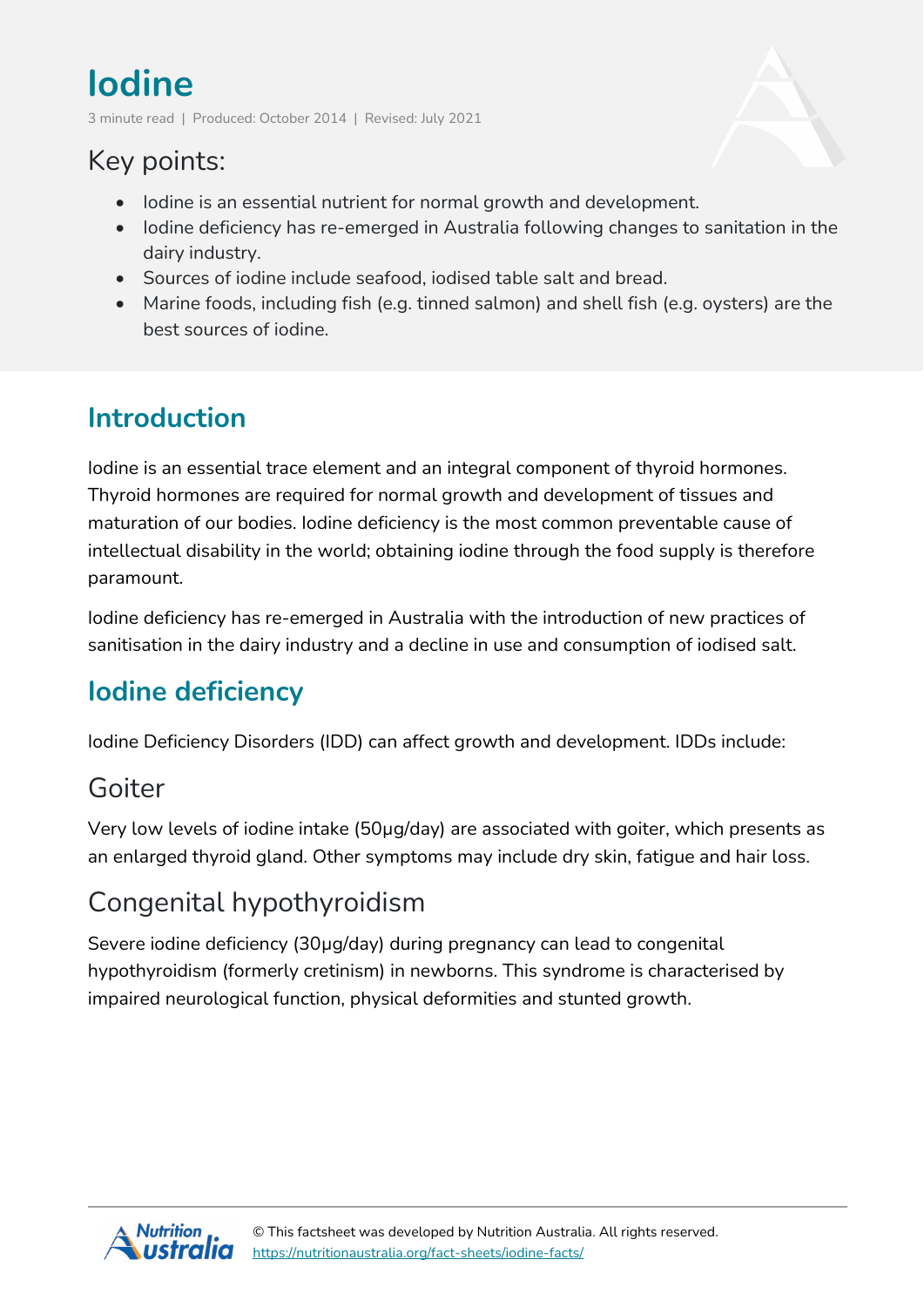# **Iodine**

3 minute read | Produced: October 2014 | Revised: July 2021

## Key points:

- Iodine is an essential nutrient for normal growth and development.
- Iodine deficiency has re-emerged in Australia following changes to sanitation in the dairy industry.
- Sources of iodine include seafood, iodised table salt and bread.
- Marine foods, including fish (e.g. tinned salmon) and shell fish (e.g. oysters) are the best sources of iodine.

# **Introduction**

Iodine is an essential trace element and an integral component of thyroid hormones. Thyroid hormones are required for normal growth and development of tissues and maturation of our bodies. Iodine deficiency is the most common preventable cause of intellectual disability in the world; obtaining iodine through the food supply is therefore paramount.

Iodine deficiency has re-emerged in Australia with the introduction of new practices of sanitisation in the dairy industry and a decline in use and consumption of iodised salt.

# **Iodine deficiency**

Iodine Deficiency Disorders (IDD) can affect growth and development. IDDs include:

### Goiter

Very low levels of iodine intake (50µg/day) are associated with goiter, which presents as an enlarged thyroid gland. Other symptoms may include dry skin, fatigue and hair loss.

# Congenital hypothyroidism

Severe iodine deficiency (30µg/day) during pregnancy can lead to congenital hypothyroidism (formerly cretinism) in newborns. This syndrome is characterised by impaired neurological function, physical deformities and stunted growth.

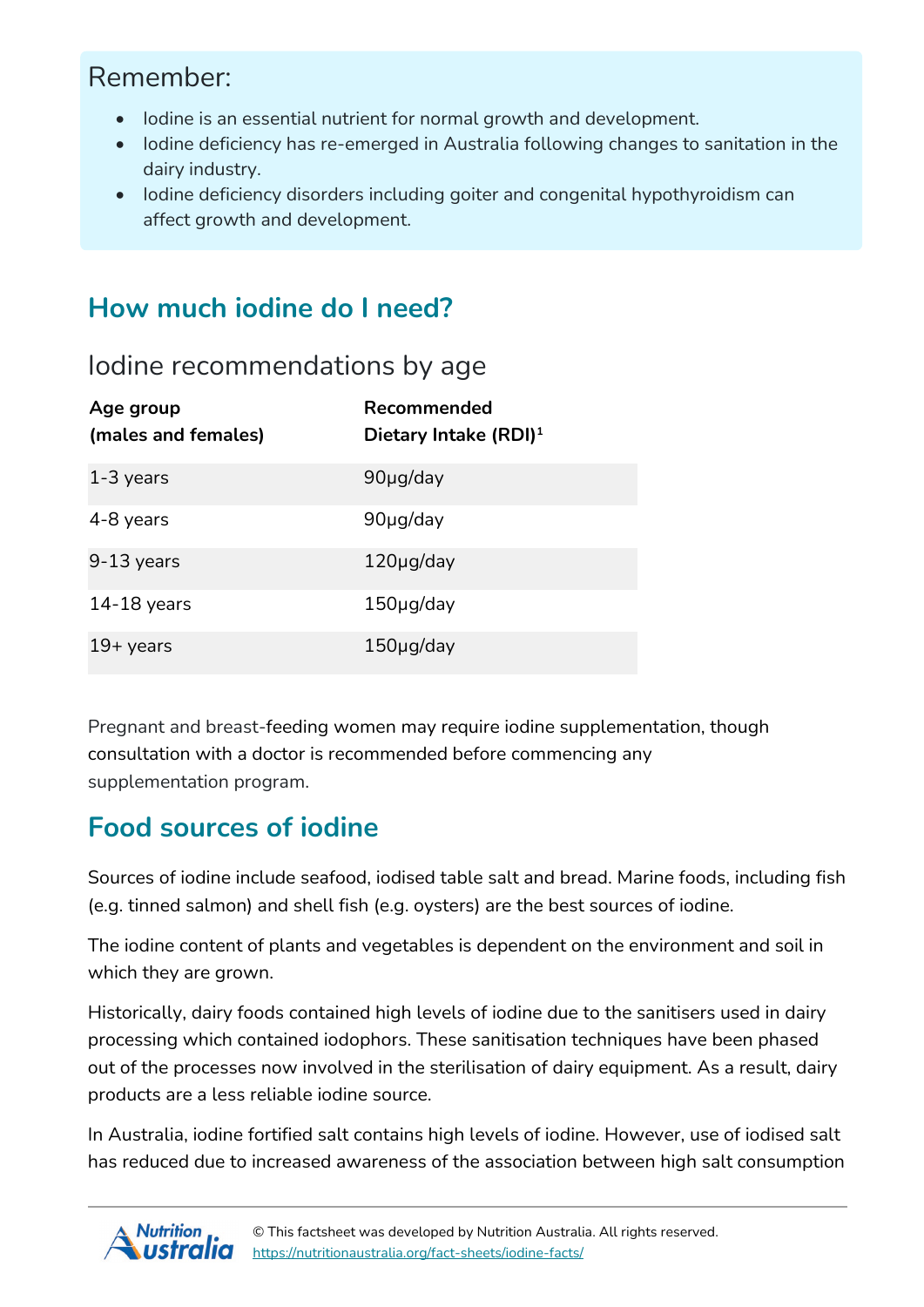## Remember:

- Iodine is an essential nutrient for normal growth and development.
- Iodine deficiency has re-emerged in Australia following changes to sanitation in the dairy industry.
- Iodine deficiency disorders including goiter and congenital hypothyroidism can affect growth and development.

## **How much iodine do I need?**

#### Iodine recommendations by age

| Age group<br>(males and females) | Recommended<br>Dietary Intake (RDI) $1$ |
|----------------------------------|-----------------------------------------|
| $1-3$ years                      | 90µg/day                                |
| 4-8 years                        | 90µg/day                                |
| $9-13$ years                     | $120\mu$ g/day                          |
| $14-18$ years                    | $150\mu$ g/day                          |
| $19 + \gamma$ ears               | $150\mu$ g/day                          |

Pregnant and breast-feeding women may require iodine supplementation, though consultation with a doctor is recommended before commencing any supplementation program.

### **Food sources of iodine**

Sources of iodine include seafood, iodised table salt and bread. Marine foods, including fish (e.g. tinned salmon) and shell fish (e.g. oysters) are the best sources of iodine.

The iodine content of plants and vegetables is dependent on the environment and soil in which they are grown.

Historically, dairy foods contained high levels of iodine due to the sanitisers used in dairy processing which contained iodophors. These sanitisation techniques have been phased out of the processes now involved in the sterilisation of dairy equipment. As a result, dairy products are a less reliable iodine source.

In Australia, iodine fortified salt contains high levels of iodine. However, use of iodised salt has reduced due to increased awareness of the association between high salt consumption